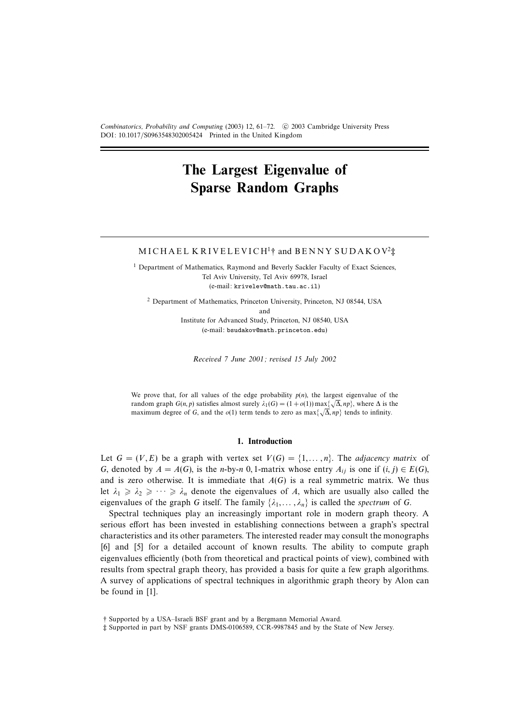Combinatorics, Probability and Computing (2003) 12, 61–72. © 2003 Cambridge University Press DOI: 10.1017/S0963548302005424 Printed in the United Kingdom

# **The Largest Eigenvalue of Sparse Random Graphs**

## MICHAEL KRIVELEVICH<sup>1</sup>† and BENNY SUDAKOV<sup>2</sup> $\ddagger$

<sup>1</sup> Department of Mathematics, Raymond and Beverly Sackler Faculty of Exact Sciences, Tel Aviv University, Tel Aviv 69978, Israel (e-mail: krivelev@math.tau.ac.il)

<sup>2</sup> Department of Mathematics, Princeton University, Princeton, NJ 08544, USA and

Institute for Advanced Study, Princeton, NJ 08540, USA (e-mail: bsudakov@math.princeton.edu)

Received 7 June 2001; revised 15 July 2002

We prove that, for all values of the edge probability  $p(n)$ , the largest eigenvalue of the random graph  $G(n, p)$  satisfies almost surely  $\lambda_1(G) = (1 + o(1)) \max\{\sqrt{\Delta}, np\}$ , where  $\Delta$  is the maximum degree of G, and the  $o(1)$  term tends to zero as max $\{\sqrt{\Delta}, np\}$  tends to infinity.

#### **1. Introduction**

Let  $G = (V, E)$  be a graph with vertex set  $V(G) = \{1, ..., n\}$ . The adjacency matrix of G, denoted by  $A = A(G)$ , is the n-by-n 0, 1-matrix whose entry  $A_{ij}$  is one if  $(i, j) \in E(G)$ , and is zero otherwise. It is immediate that  $A(G)$  is a real symmetric matrix. We thus let  $\lambda_1 \geq \lambda_2 \geq \cdots \geq \lambda_n$  denote the eigenvalues of A, which are usually also called the eigenvalues of the graph G itself. The family  $\{\lambda_1, \dots, \lambda_n\}$  is called the spectrum of G.

Spectral techniques play an increasingly important role in modern graph theory. A serious effort has been invested in establishing connections between a graph's spectral characteristics and its other parameters. The interested reader may consult the monographs [6] and [5] for a detailed account of known results. The ability to compute graph eigenvalues efficiently (both from theoretical and practical points of view), combined with results from spectral graph theory, has provided a basis for quite a few graph algorithms. A survey of applications of spectral techniques in algorithmic graph theory by Alon can be found in [1].

<sup>†</sup> Supported by a USA–Israeli BSF grant and by a Bergmann Memorial Award.

<sup>‡</sup> Supported in part by NSF grants DMS-0106589, CCR-9987845 and by the State of New Jersey.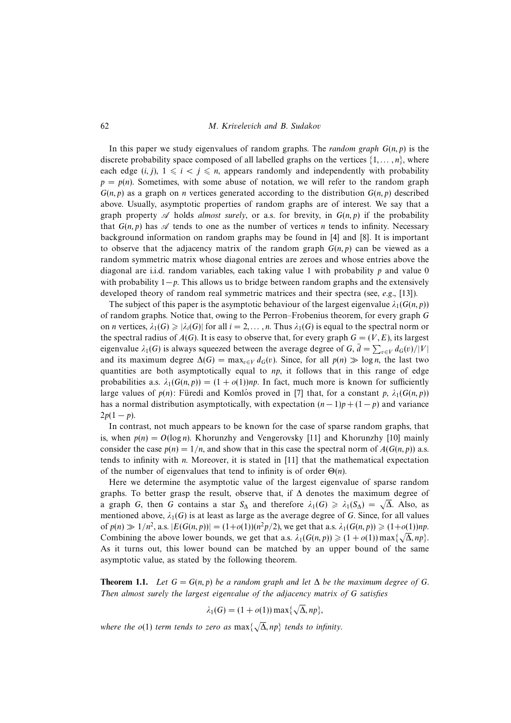In this paper we study eigenvalues of random graphs. The *random graph*  $G(n, p)$  is the discrete probability space composed of all labelled graphs on the vertices  $\{1,\ldots,n\}$ , where each edge  $(i, j)$ ,  $1 \leq i < j \leq n$ , appears randomly and independently with probability  $p = p(n)$ . Sometimes, with some abuse of notation, we will refer to the random graph  $G(n, p)$  as a graph on *n* vertices generated according to the distribution  $G(n, p)$  described above. Usually, asymptotic properties of random graphs are of interest. We say that a graph property A holds almost surely, or a.s. for brevity, in  $G(n, p)$  if the probability that  $G(n, p)$  has  $\mathscr A$  tends to one as the number of vertices *n* tends to infinity. Necessary background information on random graphs may be found in [4] and [8]. It is important to observe that the adjacency matrix of the random graph  $G(n, p)$  can be viewed as a random symmetric matrix whose diagonal entries are zeroes and whose entries above the diagonal are i.i.d. random variables, each taking value 1 with probability  $p$  and value 0 with probability  $1-p$ . This allows us to bridge between random graphs and the extensively developed theory of random real symmetric matrices and their spectra (see, e.g., [13]).

The subject of this paper is the asymptotic behaviour of the largest eigenvalue  $\lambda_1(G(n, p))$ of random graphs. Notice that, owing to the Perron–Frobenius theorem, for every graph G on *n* vertices,  $\lambda_1(G) \ge |\lambda_i(G)|$  for all  $i = 2, ..., n$ . Thus  $\lambda_1(G)$  is equal to the spectral norm or the spectral radius of  $A(G)$ . It is easy to observe that, for every graph  $G = (V, E)$ , its largest eigenvalue  $\lambda_1(G)$  is always squeezed between the average degree of G,  $\bar{d} = \sum_{v \in V} d_G(v) / |V|$ and its maximum degree  $\Delta(G) = \max_{v \in V} d_G(v)$ . Since, for all  $p(n) \gg \log n$ , the last two quantities are both asymptotically equal to  $np$ , it follows that in this range of edge probabilities a.s.  $\lambda_1(G(n, p)) = (1 + o(1))np$ . In fact, much more is known for sufficiently large values of  $p(n)$ : Füredi and Komlós proved in [7] that, for a constant p,  $\lambda_1(G(n, p))$ has a normal distribution asymptotically, with expectation  $(n-1)p + (1-p)$  and variance  $2p(1-p)$ .

In contrast, not much appears to be known for the case of sparse random graphs, that is, when  $p(n) = O(\log n)$ . Khorunzhy and Vengerovsky [11] and Khorunzhy [10] mainly consider the case  $p(n)=1/n$ , and show that in this case the spectral norm of  $A(G(n, p))$  a.s. tends to infinity with n. Moreover, it is stated in [11] that the mathematical expectation of the number of eigenvalues that tend to infinity is of order  $\Theta(n)$ .

Here we determine the asymptotic value of the largest eigenvalue of sparse random graphs. To better grasp the result, observe that, if  $\Delta$  denotes the maximum degree of a graph G, then G contains a star  $S_\Delta$  and therefore  $\lambda_1(G) \geq \lambda_1(S_\Delta) = \sqrt{\Delta}$ . Also, as mentioned above,  $\lambda_1(G)$  is at least as large as the average degree of G. Since, for all values of  $p(n) \gg 1/n^2$ , a.s.  $|E(G(n, p))| = (1+o(1))(n^2p/2)$ , we get that a.s.  $\lambda_1(G(n, p)) \ge (1+o(1))np$ . Combining the above lower bounds, we get that a.s.  $\lambda_1(G(n, p)) \geq (1 + o(1)) \max\{\sqrt{\Delta}, np\}.$ As it turns out, this lower bound can be matched by an upper bound of the same asymptotic value, as stated by the following theorem.

**Theorem 1.1.** Let  $G = G(n, p)$  be a random graph and let  $\Delta$  be the maximum degree of G. Then almost surely the largest eigenvalue of the adjacency matrix of G satisfies

$$
\lambda_1(G) = (1 + o(1)) \max\{\sqrt{\Delta}, np\},\
$$

where the  $o(1)$  term tends to zero as  $\max\{\sqrt{\Delta},np\}$  tends to infinity.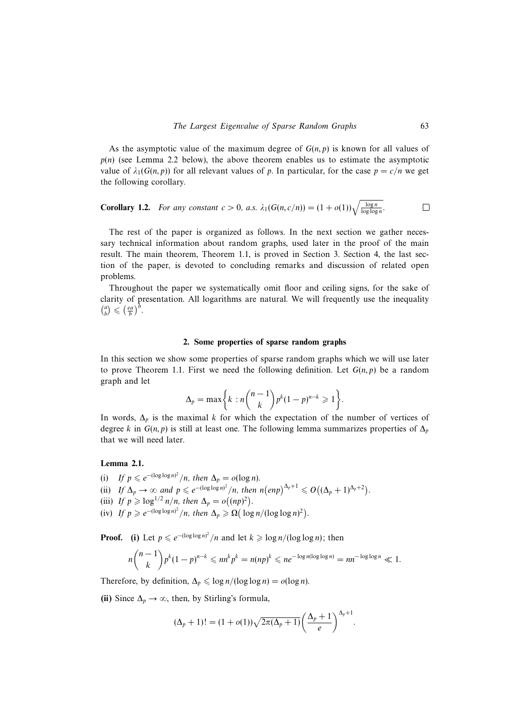As the asymptotic value of the maximum degree of  $G(n, p)$  is known for all values of  $p(n)$  (see Lemma 2.2 below), the above theorem enables us to estimate the asymptotic value of  $\lambda_1(G(n, p))$  for all relevant values of p. In particular, for the case  $p = c/n$  we get the following corollary.

**Corollary 1.2.** For any constant 
$$
c > 0
$$
, a.s.  $\lambda_1(G(n, c/n)) = (1 + o(1))\sqrt{\frac{\log n}{\log \log n}}$ .

The rest of the paper is organized as follows. In the next section we gather necessary technical information about random graphs, used later in the proof of the main result. The main theorem, Theorem 1.1, is proved in Section 3. Section 4, the last section of the paper, is devoted to concluding remarks and discussion of related open problems.

Throughout the paper we systematically omit floor and ceiling signs, for the sake of clarity of presentation. All logarithms are natural. We will frequently use the inequality  $\binom{a}{b} \leqslant \left(\frac{ea}{b}\right)^b$ .

#### **2. Some properties of sparse random graphs**

In this section we show some properties of sparse random graphs which we will use later to prove Theorem 1.1. First we need the following definition. Let  $G(n, p)$  be a random graph and let

$$
\Delta_p = \max\bigg\{k : n\binom{n-1}{k}p^k(1-p)^{n-k} \geqslant 1\bigg\}.
$$

In words,  $\Delta_p$  is the maximal k for which the expectation of the number of vertices of degree k in  $G(n, p)$  is still at least one. The following lemma summarizes properties of  $\Delta_p$ that we will need later.

## **Lemma 2.1.**

- (i) If  $p \leq e^{-(\log \log n)^2}/n$ , then  $\Delta_p = o(\log n)$ .
- (ii) If  $\Delta_p \to \infty$  and  $p \le e^{-(\log \log n)^2}/n$ , then  $n(\text{en}p)^{\Delta_p+1} \le O((\Delta_p+1)^{\Delta_p+2})$ .
- (iii) If  $p \geqslant \log^{1/2} n/n$ , then  $\Delta_p = o((np)^2)$ .
- (iv) If  $p \ge e^{-(\log \log n)^2}/n$ , then  $\Delta_p \ge \Omega(\log n/(\log \log n)^2)$ .

**Proof.** (i) Let  $p \le e^{-(\log \log n)^2}/n$  and let  $k \ge \log n/(\log \log n)$ ; then

$$
n\binom{n-1}{k}p^k(1-p)^{n-k}\leqslant nn^kp^k=n(np)^k\leqslant ne^{-\log n(\log\log n)}=nn^{-\log\log n}\ll 1.
$$

Therefore, by definition,  $\Delta_p \leq \log n/(\log \log n) = o(\log n)$ .

(ii) Since  $\Delta_p \to \infty$ , then, by Stirling's formula,

$$
(\Delta_p+1)! = (1+o(1))\sqrt{2\pi(\Delta_p+1)}\left(\frac{\Delta_p+1}{e}\right)^{\Delta_p+1}.
$$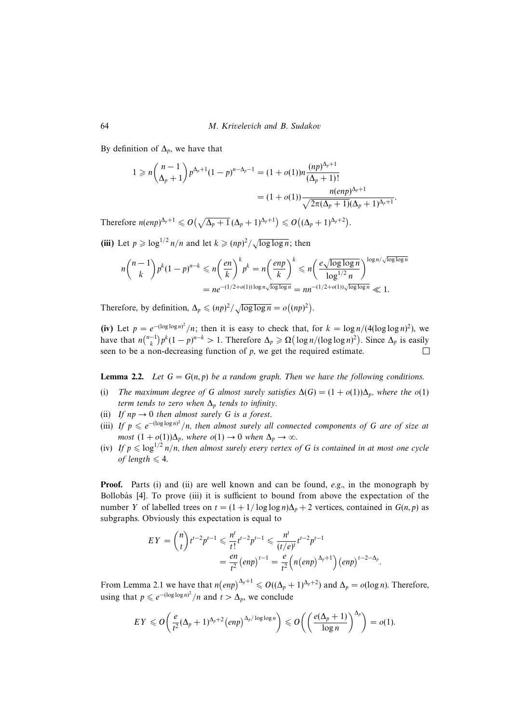By definition of  $\Delta_p$ , we have that

$$
1 \ge n {n-1 \choose \Delta_p+1} p^{\Delta_p+1} (1-p)^{n-\Delta_p-1} = (1+o(1))n \frac{(np)^{\Delta_p+1}}{(\Delta_p+1)!}
$$
  
=  $(1+o(1)) \frac{n(\exp)^{\Delta_p+1}}{\sqrt{2\pi(\Delta_p+1)}(\Delta_p+1)^{\Delta_p+1}}.$ 

Therefore  $n(enp)^{\Delta_p+1} \leqslant O\left(\sqrt{\Delta_p+1}(\Delta_p+1)^{\Delta_p+1}\right) \leqslant O\left((\Delta_p+1)^{\Delta_p+2}\right).$ 

(iii) Let  $p \geq \log^{1/2} n/n$  and let  $k \geq (np)^2/\sqrt{\log \log n}$ ; then

$$
n\binom{n-1}{k}p^k(1-p)^{n-k} \leqslant n\left(\frac{en}{k}\right)^k p^k = n\left(\frac{enp}{k}\right)^k \leqslant n\left(\frac{e\sqrt{\log\log n}}{\log^{1/2} n}\right)^{\log n/\sqrt{\log\log n}}
$$

$$
= ne^{-(1/2+o(1))\log n\sqrt{\log\log n}} = nn^{-(1/2+o(1))\sqrt{\log\log n}} \ll 1.
$$

Therefore, by definition,  $\Delta_p \leq (np)^2 / \sqrt{\log \log n} = o((np)^2)$ .

(iv) Let  $p = e^{-(\log \log n)^2}/n$ ; then it is easy to check that, for  $k = \log n/(4(\log \log n)^2)$ , we have that  $n\binom{n-1}{k}p^k(1-p)^{n-k} > 1$ . Therefore  $\Delta_p \ge \Omega\left(\frac{\log n}{(\log \log n)^2}\right)$ . Since  $\Delta_p$  is easily seen to be a non-decreasing function of  $p$ , we get the required estimate.  $\Box$ 

**Lemma 2.2.** Let  $G = G(n, p)$  be a random graph. Then we have the following conditions.

- (i) The maximum degree of G almost surely satisfies  $\Delta(G) = (1 + o(1))\Delta_p$ , where the  $o(1)$ term tends to zero when  $\Delta_p$  tends to infinity.
- (ii) If  $np \rightarrow 0$  then almost surely G is a forest.
- (iii) If  $p \le e^{-(\log \log n)^2}/n$ , then almost surely all connected components of G are of size at most  $(1 + o(1))\Delta_p$ , where  $o(1) \rightarrow 0$  when  $\Delta_p \rightarrow \infty$ .
- (iv) If  $p \leq \log^{1/2} n/n$ , then almost surely every vertex of G is contained in at most one cycle of length  $\leq 4$ .

**Proof.** Parts (i) and (ii) are well known and can be found, e.g., in the monograph by Bollobás  $[4]$ . To prove  $(iii)$  it is sufficient to bound from above the expectation of the number Y of labelled trees on  $t = (1 + 1/\log \log n)\Delta_p + 2$  vertices, contained in  $G(n, p)$  as subgraphs. Obviously this expectation is equal to

$$
EY = {n \choose t} t^{t-2} p^{t-1} \leq \frac{n^t}{t!} t^{t-2} p^{t-1} \leq \frac{n^t}{(t/e)^t} t^{t-2} p^{t-1}
$$
  
=  $\frac{en}{t^2} (enp)^{t-1} = \frac{e}{t^2} (n(enp)^{\Delta_p+1}) (enp)^{t-2-\Delta_p}$ 

.

From Lemma 2.1 we have that  $n(\text{enp})^{\Delta_p+1} \leq O((\Delta_p+1)^{\Delta_p+2})$  and  $\Delta_p = o(\log n)$ . Therefore, using that  $p \leq e^{-(\log \log n)^2}/n$  and  $t > \Delta_p$ , we conclude

$$
EY \leqslant O\bigg(\frac{e}{t^2}(\Delta_p+1)^{\Delta_p+2}\big(\text{exp}\big)^{\Delta_p/\log\log n}\bigg) \leqslant O\bigg(\bigg(\frac{e(\Delta_p+1)}{\log n}\bigg)^{\Delta_p}\bigg) = o(1).
$$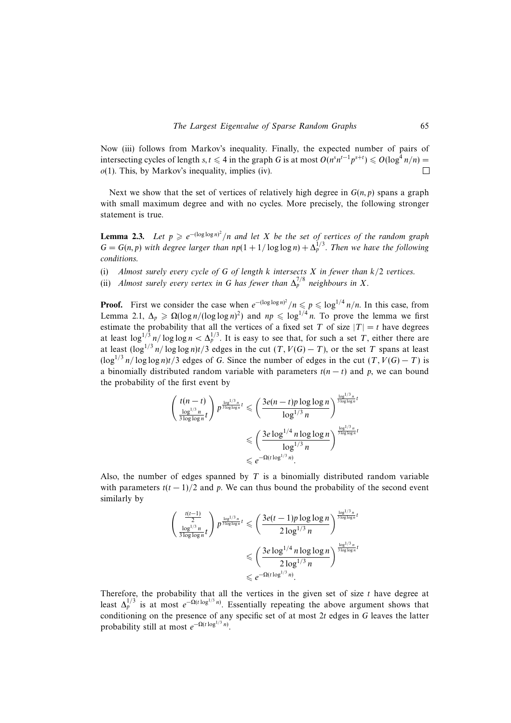Now (iii) follows from Markov's inequality. Finally, the expected number of pairs of intersecting cycles of length s,  $t \le 4$  in the graph G is at most  $O(n^s n^{t-1} p^{s+t}) \le O(\log^4 n/n)$  =  $o(1)$ . This, by Markov's inequality, implies (iv).  $\Box$ 

Next we show that the set of vertices of relatively high degree in  $G(n, p)$  spans a graph with small maximum degree and with no cycles. More precisely, the following stronger statement is true.

**Lemma 2.3.** Let  $p \ge e^{-(\log \log n)^2}/n$  and let X be the set of vertices of the random graph  $G = G(n, p)$  with degree larger than  $np(1 + 1/\log \log n) + \Delta_p^{1/3}$ . Then we have the following conditions.

(i) Almost surely every cycle of G of length  $k$  intersects  $X$  in fewer than  $k/2$  vertices.

(ii) Almost surely every vertex in G has fewer than  $\Delta_p^{7/8}$  neighbours in X.

**Proof.** First we consider the case when  $e^{-(\log \log n)^2}/n \leq p \leq \log^{1/4} n/n$ . In this case, from Lemma 2.1,  $\Delta_p \ge \Omega(\log n/(\log \log n)^2)$  and  $np \le \log^{1/4} n$ . To prove the lemma we first estimate the probability that all the vertices of a fixed set T of size  $|T| = t$  have degrees at least  $\log^{1/3} n / \log \log n < \Delta_p^{1/3}$ . It is easy to see that, for such a set T, either there are at least  $(\log^{1/3} n / \log \log n)t/3$  edges in the cut  $(T, V(G) - T)$ , or the set T spans at least  $(\log^{1/3} n / \log \log n)t/3$  edges of G. Since the number of edges in the cut  $(T, V(G) - T)$  is a binomially distributed random variable with parameters  $t(n - t)$  and p, we can bound the probability of the first event by

$$
\begin{aligned}\n\left(\frac{t(n-t)}{\frac{\log^{1/3}n}{3\log\log n}t}\right) p^{\frac{\log^{1/3}n}{3\log\log n}t} &\leqslant \left(\frac{3e(n-t)p\log\log n}{\log^{1/3}n}\right)^{\frac{\log^{1/3}n}{3\log\log n}t} \\
&\leqslant \left(\frac{3e\log^{1/4}n\log\log n}{\log^{1/3}n}\right)^{\frac{\log^{1/3}n}{3\log\log n}t} \\
&\leqslant e^{-\Omega(t\log^{1/3}n)}.\n\end{aligned}
$$

Also, the number of edges spanned by  $T$  is a binomially distributed random variable with parameters  $t(t-1)/2$  and p. We can thus bound the probability of the second event similarly by

$$
\begin{aligned}\n\left(\frac{\frac{t(t-1)}{2}}{\frac{\log^{1/3}n}{3\log\log n}t}\right) p^{\frac{\log^{1/3}n}{3\log\log n}t} &\leqslant \left(\frac{3e(t-1)p\log\log n}{2\log^{1/3}n}\right)^{\frac{\log^{1/3}n}{3\log\log n}t} \\
&\leqslant \left(\frac{3e\log^{1/4}n\log\log n}{2\log^{1/3}n}\right)^{\frac{\log^{1/3}n}{3\log\log n}t} \\
&\leqslant e^{-\Omega(t\log^{1/3}n)}.\n\end{aligned}
$$

Therefore, the probability that all the vertices in the given set of size  $t$  have degree at least  $\Delta_p^{1/3}$  is at most  $e^{-\Omega(t \log^{1/3} n)}$ . Essentially repeating the above argument shows that conditioning on the presence of any specific set of at most  $2t$  edges in  $G$  leaves the latter probability still at most  $e^{-\Omega(t \log^{1/3} n)}$ .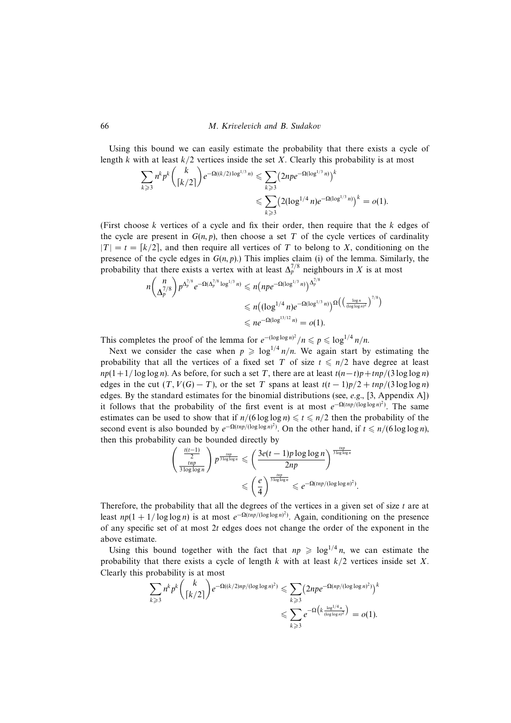Using this bound we can easily estimate the probability that there exists a cycle of length k with at least  $k/2$  vertices inside the set X. Clearly this probability is at most

$$
\sum_{k \geqslant 3} n^k p^k {k \choose \lceil k/2 \rceil} e^{-\Omega((k/2)\log^{1/3} n)} \leqslant \sum_{k \geqslant 3} (2npe^{-\Omega(\log^{1/3} n)})^k
$$
  

$$
\leqslant \sum_{k \geqslant 3} (2(\log^{1/4} n)e^{-\Omega(\log^{1/3} n)})^k = o(1).
$$

(First choose k vertices of a cycle and fix their order, then require that the  $k$  edges of the cycle are present in  $G(n, p)$ , then choose a set T of the cycle vertices of cardinality  $|T| = t = [k/2]$ , and then require all vertices of T to belong to X, conditioning on the presence of the cycle edges in  $G(n, p)$ .) This implies claim (i) of the lemma. Similarly, the probability that there exists a vertex with at least  $\Delta_p^{7/8}$  neighbours in X is at most

$$
n\binom{n}{\Delta_p^{7/8}} p^{\Delta_p^{7/8}} e^{-\Omega(\Delta_p^{7/8} \log^{1/3} n)} \le n(npe^{-\Omega(\log^{1/3} n)})^{\Delta_p^{7/8}}
$$
  

$$
\le n((\log^{1/4} n)e^{-\Omega(\log^{1/3} n)})^{\Omega(\left(\frac{\log n}{(\log \log n)^2}\right)^{7/8})}
$$
  

$$
\le n e^{-\Omega(\log^{13/12} n)} = o(1).
$$

This completes the proof of the lemma for  $e^{-(\log \log n)^2}/n \leq p \leq \log^{1/4} n/n$ .

Next we consider the case when  $p \geq log^{1/4} n/n$ . We again start by estimating the probability that all the vertices of a fixed set T of size  $t \leq n/2$  have degree at least  $np(1 + 1/\log \log n)$ . As before, for such a set T, there are at least  $t(n-t)p + \frac{tnp}{3 \log \log n}$ edges in the cut  $(T, V(G) - T)$ , or the set T spans at least  $t(t - 1)p/2 + tnp/(3 \log \log n)$ edges. By the standard estimates for the binomial distributions (see, e.g., [3, Appendix A]) it follows that the probability of the first event is at most  $e^{-\Omega(tnp/(\log \log n)^2)}$ . The same estimates can be used to show that if  $n/(6 \log \log n) \le t \le n/2$  then the probability of the second event is also bounded by  $e^{-\Omega(tnp/(log \log n)^2)}$ . On the other hand, if  $t \le n/(6 \log \log n)$ , then this probability can be bounded directly by

$$
\begin{aligned}\n\left(\frac{\frac{t(t-1)}{2}}{\frac{\text{tmp}}{3\log\log n}}\right) p^{\frac{tnp}{3\log\log n}} &\leq \left(\frac{3e(t-1)p\log\log n}{2np}\right)^{\frac{tnp}{3\log\log n}} \\
&\leq \left(\frac{e}{4}\right)^{\frac{tnp}{3\log\log n}} &\leq e^{-\Omega(tnp/(\log\log n)^2)}\n\end{aligned}
$$

.

Therefore, the probability that all the degrees of the vertices in a given set of size  $t$  are at least  $np(1 + 1/\log \log n)$  is at most  $e^{-\Omega(tnp/(\log \log n)^2)}$ . Again, conditioning on the presence of any specific set of at most  $2t$  edges does not change the order of the exponent in the above estimate.

Using this bound together with the fact that  $np \geq \log^{1/4} n$ , we can estimate the probability that there exists a cycle of length k with at least  $k/2$  vertices inside set X. Clearly this probability is at most

$$
\sum_{k\geqslant 3} n^k p^k \binom{k}{\lceil k/2 \rceil} e^{-\Omega((k/2)np/(\log \log n)^2)} \leqslant \sum_{k\geqslant 3} \left(2npe^{-\Omega(np/(\log \log n)^2)}\right)^k
$$
  

$$
\leqslant \sum_{k\geqslant 3} e^{-\Omega\left(k\frac{\log^{1/4} n}{(\log \log n)^2}\right)} = o(1).
$$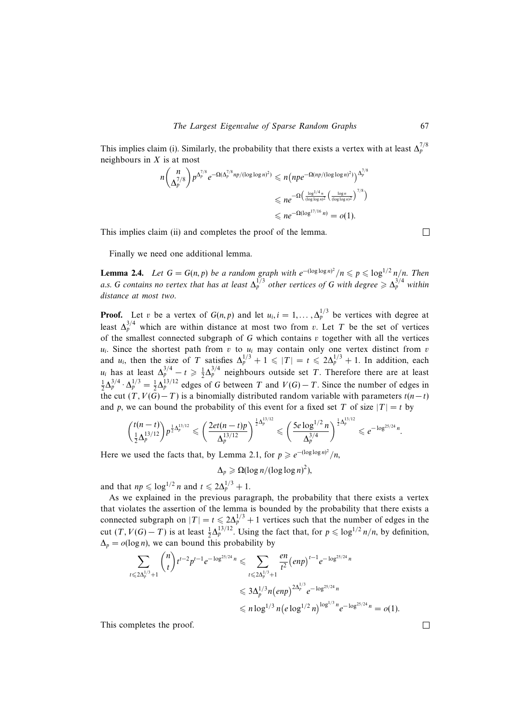This implies claim (i). Similarly, the probability that there exists a vertex with at least  $\Delta_p^{7/8}$ neighbours in  $X$  is at most

$$
n\binom{n}{\Delta_p^{7/8}} p^{\Delta_p^{7/8}} e^{-\Omega(\Delta_p^{7/8} np/(\log \log n)^2)} \le n(npe^{-\Omega(np/(\log \log n)^2)})^{\Delta_p^{7/8}}
$$
  

$$
\le ne^{-\Omega(\frac{\log^{1/4} n}{(\log \log n)^2}(\frac{\log n}{(\log \log n)^2})^{7/8})}
$$
  

$$
\le ne^{-\Omega(\log^{17/16} n)} = o(1).
$$

This implies claim (ii) and completes the proof of the lemma.

 $\Box$ 

Finally we need one additional lemma.

**Lemma 2.4.** Let  $G = G(n, p)$  be a random graph with  $e^{-(\log \log n)^2}/n \leqslant p \leqslant \log^{1/2} n/n$ . Then a.s. G contains no vertex that has at least  $\Delta_p^{1/3}$  other vertices of G with degree  $\geq \Delta_p^{3/4}$  within distance at most two.

**Proof.** Let v be a vertex of  $G(n, p)$  and let  $u_i$ ,  $i = 1, ..., \Delta_p^{1/3}$  be vertices with degree at least  $\Delta_p^{3/4}$  which are within distance at most two from v. Let T be the set of vertices of the smallest connected subgraph of  $G$  which contains  $v$  together with all the vertices  $u_i$ . Since the shortest path from v to  $u_i$  may contain only one vertex distinct from v and  $u_i$ , then the size of T satisfies  $\Delta_p^{1/3} + 1 \le |T| = t \le 2\Delta_p^{1/3} + 1$ . In addition, each  $u_i$  has at least  $\Delta_p^{3/4} - t \ge \frac{1}{2} \Delta_p^{3/4}$  neighbours outside set T. Therefore there are at least  $\frac{1}{2}\Delta_p^{3/4} \cdot \Delta_p^{1/3} = \frac{1}{2}\Delta_p^{13/12}$  edges of G between T and  $V(G) - T$ . Since the number of edges in the cut  $(T, V(G)-T)$  is a binomially distributed random variable with parameters  $t(n-t)$ and p, we can bound the probability of this event for a fixed set T of size  $|T| = t$  by

$$
\binom{t(n-t)}{\frac{1}{2}\Delta_p^{13/12}} p^{\frac{1}{2}\Delta_p^{13/12}} \leqslant \left(\frac{2et(n-t)p}{\Delta_p^{13/12}}\right)^{\frac{1}{2}\Delta_p^{13/12}} \leqslant \left(\frac{5e\log^{1/2}n}{\Delta_p^{3/4}}\right)^{\frac{1}{2}\Delta_p^{13/12}} \leqslant e^{-\log^{25/24}n}.
$$

Here we used the facts that, by Lemma 2.1, for  $p \ge e^{-(\log \log n)^2}/n$ ,

$$
\Delta_p \geqslant \Omega(\log n/(\log\log n)^2),
$$

and that  $np \leq \log^{1/2} n$  and  $t \leq 2\Delta_p^{1/3} + 1$ .

As we explained in the previous paragraph, the probability that there exists a vertex that violates the assertion of the lemma is bounded by the probability that there exists a connected subgraph on  $|T| = t \le 2\Delta_p^{1/3} + 1$  vertices such that the number of edges in the cut  $(T, V(G) - T)$  is at least  $\frac{1}{2} \Delta_p^{13/12}$ . Using the fact that, for  $p \leq \log^{1/2} n/n$ , by definition,  $\Delta_p = o(\log n)$ , we can bound this probability by

$$
\sum_{t \le 2\Delta_p^{1/3}+1} \binom{n}{t} t^{t-2} p^{t-1} e^{-\log^{25/24} n} \le \sum_{t \le 2\Delta_p^{1/3}+1} \frac{en}{t^2} (enp)^{t-1} e^{-\log^{25/24} n}
$$
  

$$
\le 3\Delta_p^{1/3} n (enp)^{2\Delta_p^{1/3}} e^{-\log^{25/24} n}
$$
  

$$
\le n \log^{1/3} n (e \log^{1/2} n)^{\log^{1/3} n} e^{-\log^{25/24} n} = o(1).
$$

This completes the proof.

 $\Box$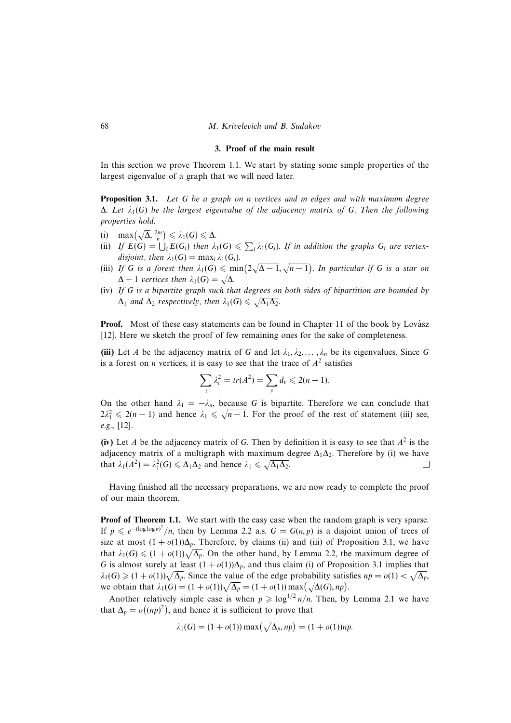#### **3. Proof of the main result**

In this section we prove Theorem 1.1. We start by stating some simple properties of the largest eigenvalue of a graph that we will need later.

**Proposition 3.1.** Let G be a graph on n vertices and m edges and with maximum degree  $\Delta$ . Let  $\lambda_1(G)$  be the largest eigenvalue of the adjacency matrix of G. Then the following properties hold.

- (i) max $(\sqrt{\Delta}, \frac{2m}{n}) \leq \lambda_1(G) \leq \Delta$ .
- (ii) If  $E(G) = \bigcup_i E(G_i)$  then  $\lambda_1(G) \leq \sum_i \lambda_1(G_i)$ . If in addition the graphs  $G_i$  are vertexdisjoint, then  $\lambda_1(G) = \max_i \lambda_1(G_i)$ .
- (iii) If G is a forest then  $\lambda_1(G) \leq \min(2\sqrt{\Delta-1}, \sqrt{n-1})$ . In particular if G is a star on  $\Delta+1$  vertices then  $\lambda_1(G) = \sqrt{\Delta}.$
- (iv) If G is a bipartite graph such that degrees on both sides of bipartition are bounded by  $\Delta_1$  and  $\Delta_2$  respectively, then  $\lambda_1(G) \leq \sqrt{\Delta_1 \Delta_2}$ .

**Proof.** Most of these easy statements can be found in Chapter 11 of the book by Lovász [12]. Here we sketch the proof of few remaining ones for the sake of completeness.

(iii) Let A be the adjacency matrix of G and let  $\lambda_1, \lambda_2, \ldots, \lambda_n$  be its eigenvalues. Since G is a forest on *n* vertices, it is easy to see that the trace of  $A^2$  satisfies

$$
\sum_{i} \lambda_i^2 = tr(A^2) = \sum_{v} d_v \leqslant 2(n-1).
$$

On the other hand  $\lambda_1 = -\lambda_n$ , because G is bipartite. Therefore we can conclude that On the other hand  $\lambda_1 = -\lambda_n$ , because of is organitie. Therefore we can conclude that  $2\lambda_1^2 \leq 2(n-1)$  and hence  $\lambda_1 \leq \sqrt{n-1}$ . For the proof of the rest of statement (iii) see, e.g., [12].

(iv) Let A be the adjacency matrix of G. Then by definition it is easy to see that  $A<sup>2</sup>$  is the adjacency matrix of a multigraph with maximum degree  $\Delta_1\Delta_2$ . Therefore by (i) we have that  $\lambda_1(A^2) = \lambda_1^2(G) \leq \Delta_1\Delta_2$  and hence  $\lambda_1 \leq \sqrt{\Delta_1\Delta_2}$ .  $\Box$ 

Having finished all the necessary preparations, we are now ready to complete the proof of our main theorem.

**Proof of Theorem 1.1.** We start with the easy case when the random graph is very sparse. If  $p \le e^{-(\log \log n)^2}/n$ , then by Lemma 2.2 a.s.  $G = G(n, p)$  is a disjoint union of trees of size at most  $(1 + o(1))\Delta_p$ . Therefore, by claims (ii) and (iii) of Proposition 3.1, we have that  $\lambda_1(G) \leq (1 + o(1))\sqrt{\Delta_p}$ . On the other hand, by Lemma 2.2, the maximum degree of G is almost surely at least  $(1 + o(1))\Delta_p$ , and thus claim (i) of Proposition 3.1 implies that  $\lambda_1(G) \geq (1 + o(1))\sqrt{\Delta_p}$ . Since the value of the edge probability satisfies  $np = o(1) < \sqrt{\Delta_p}$ , we obtain that  $\lambda_1(G) = (1 + o(1))\sqrt{\Delta_p} = (1 + o(1))\max(\sqrt{\Delta(G)}, np)$ .

Another relatively simple case is when  $p \geq \log^{1/2} n/n$ . Then, by Lemma 2.1 we have that  $\Delta_p = o((np)^2)$ , and hence it is sufficient to prove that

$$
\lambda_1(G) = (1 + o(1)) \max(\sqrt{\Delta_p}, np) = (1 + o(1))np.
$$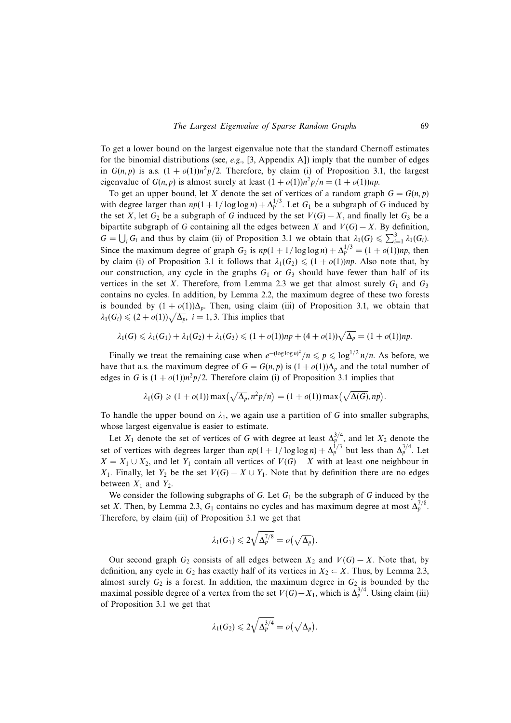To get a lower bound on the largest eigenvalue note that the standard Chernoff estimates for the binomial distributions (see, e.g., [3, Appendix A]) imply that the number of edges in  $G(n, p)$  is a.s.  $(1 + o(1))n^2p/2$ . Therefore, by claim (i) of Proposition 3.1, the largest eigenvalue of  $G(n, p)$  is almost surely at least  $(1 + o(1))n^2p/n = (1 + o(1))np$ .

To get an upper bound, let X denote the set of vertices of a random graph  $G = G(n, p)$ with degree larger than  $np(1 + 1/\log \log n) + \Delta_p^{1/3}$ . Let  $G_1$  be a subgraph of G induced by the set X, let  $G_2$  be a subgraph of G induced by the set  $V(G) - X$ , and finally let  $G_3$  be a bipartite subgraph of G containing all the edges between X and  $V(G) - X$ . By definition,  $G = \bigcup_i G_i$  and thus by claim (ii) of Proposition 3.1 we obtain that  $\lambda_1(G) \leq \sum_{i=1}^3 \lambda_1(G_i)$ . Since the maximum degree of graph  $G_2$  is  $np(1 + 1/\log \log n) + \Delta_p^{1/3} = (1 + o(1))np$ , then by claim (i) of Proposition 3.1 it follows that  $\lambda_1(G_2) \leq (1 + o(1))np$ . Also note that, by our construction, any cycle in the graphs  $G_1$  or  $G_3$  should have fewer than half of its vertices in the set X. Therefore, from Lemma 2.3 we get that almost surely  $G_1$  and  $G_3$ contains no cycles. In addition, by Lemma 2.2, the maximum degree of these two forests is bounded by  $(1 + o(1))\Delta_p$ . Then, using claim (iii) of Proposition 3.1, we obtain that  $\lambda_1(G_i) \leq (2 + o(1))\sqrt{\Delta_p}$ ,  $i = 1, 3$ . This implies that

$$
\lambda_1(G) \leq \lambda_1(G_1) + \lambda_1(G_2) + \lambda_1(G_3) \leq (1 + o(1))np + (4 + o(1))\sqrt{\Delta_p} = (1 + o(1))np.
$$

Finally we treat the remaining case when  $e^{-(\log \log n)^2}/n \leqslant p \leqslant \log^{1/2} n/n$ . As before, we have that a.s. the maximum degree of  $G = G(n, p)$  is  $(1 + o(1))\Delta_p$  and the total number of edges in G is  $(1 + o(1))n^2p/2$ . Therefore claim (i) of Proposition 3.1 implies that

$$
\lambda_1(G) \geqslant (1+o(1)) \max\left(\sqrt{\Delta_p}, n^2p/n\right) = (1+o(1)) \max\left(\sqrt{\Delta(G)}, np\right).
$$

To handle the upper bound on  $\lambda_1$ , we again use a partition of G into smaller subgraphs, whose largest eigenvalue is easier to estimate.

Let  $X_1$  denote the set of vertices of G with degree at least  $\Delta_p^{3/4}$ , and let  $X_2$  denote the set of vertices with degrees larger than  $np(1 + 1/\log \log n) + \Delta_p^{1/3}$  but less than  $\Delta_p^{3/4}$ . Let  $X = X_1 \cup X_2$ , and let Y<sub>1</sub> contain all vertices of  $V(G) - X$  with at least one neighbour in X<sub>1</sub>. Finally, let Y<sub>2</sub> be the set  $V(G) - X \cup Y_1$ . Note that by definition there are no edges between  $X_1$  and  $Y_2$ .

We consider the following subgraphs of  $G$ . Let  $G_1$  be the subgraph of  $G$  induced by the set X. Then, by Lemma 2.3,  $G_1$  contains no cycles and has maximum degree at most  $\Delta_p^{7/8}$ . Therefore, by claim (iii) of Proposition 3.1 we get that

$$
\lambda_1(G_1)\leqslant 2\sqrt{\Delta_p^{7/8}}=o\bigl(\sqrt{\Delta_p}\bigr).
$$

Our second graph  $G_2$  consists of all edges between  $X_2$  and  $V(G) - X$ . Note that, by definition, any cycle in  $G_2$  has exactly half of its vertices in  $X_2 \subset X$ . Thus, by Lemma 2.3, almost surely  $G_2$  is a forest. In addition, the maximum degree in  $G_2$  is bounded by the maximal possible degree of a vertex from the set  $V(G) - X_1$ , which is  $\Delta_p^{3/4}$ . Using claim (iii) of Proposition 3.1 we get that

$$
\lambda_1(G_2)\leqslant 2\sqrt{\Delta_p^{3/4}}=o\bigl(\sqrt{\Delta_p}\bigr).
$$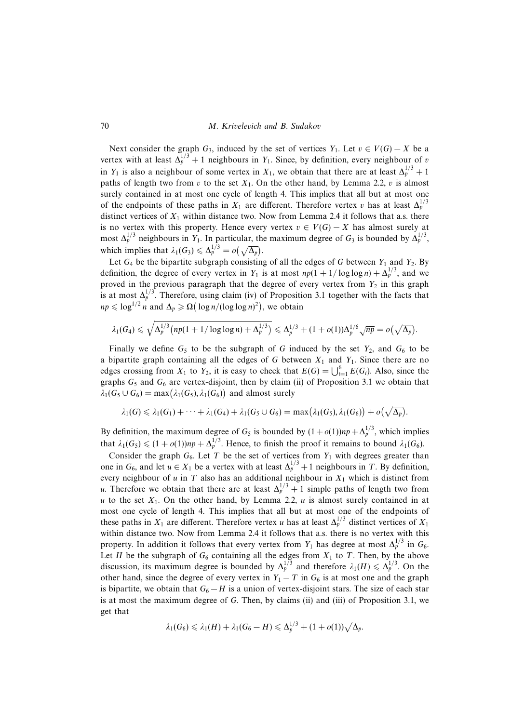Next consider the graph  $G_3$ , induced by the set of vertices  $Y_1$ . Let  $v \in V(G) - X$  be a vertex with at least  $\Delta_p^{1/3}$  + 1 neighbours in Y<sub>1</sub>. Since, by definition, every neighbour of v in Y<sub>1</sub> is also a neighbour of some vertex in  $X_1$ , we obtain that there are at least  $\Delta_p^{1/3} + 1$ paths of length two from v to the set  $X_1$ . On the other hand, by Lemma 2.2, v is almost surely contained in at most one cycle of length 4. This implies that all but at most one of the endpoints of these paths in  $X_1$  are different. Therefore vertex v has at least  $\Delta_p^{1/3}$ distinct vertices of  $X_1$  within distance two. Now from Lemma 2.4 it follows that a.s. there is no vertex with this property. Hence every vertex  $v \in V(G) - X$  has almost surely at most  $\Delta_p^{1/3}$  neighbours in Y<sub>1</sub>. In particular, the maximum degree of G<sub>3</sub> is bounded by  $\Delta_p^{1/3}$ , which implies that  $\lambda_1(G_3) \leq \Delta_p^{1/3} = o(\sqrt{\Delta_p}).$ 

Let  $G_4$  be the bipartite subgraph consisting of all the edges of G between  $Y_1$  and  $Y_2$ . By definition, the degree of every vertex in Y<sub>1</sub> is at most  $np(1 + 1/\log \log n) + \Delta_p^{1/3}$ , and we proved in the previous paragraph that the degree of every vertex from  $Y_2$  in this graph is at most  $\Delta_p^{1/3}$ . Therefore, using claim (iv) of Proposition 3.1 together with the facts that  $np \leq \log^{1/2} n$  and  $\Delta_p \geq \Omega(\log n/(\log \log n)^2)$ , we obtain

$$
\lambda_1(G_4) \leq \sqrt{\Delta_p^{1/3} \left( np(1 + 1/\log \log n) + \Delta_p^{1/3} \right)} \leq \Delta_p^{1/3} + (1 + o(1))\Delta_p^{1/6} \sqrt{np} = o(\sqrt{\Delta_p}).
$$

Finally we define  $G_5$  to be the subgraph of G induced by the set  $Y_2$ , and  $G_6$  to be a bipartite graph containing all the edges of G between  $X_1$  and  $Y_1$ . Since there are no edges crossing from  $X_1$  to  $Y_2$ , it is easy to check that  $E(G) = \bigcup_{i=1}^{6} E(G_i)$ . Also, since the graphs  $G_5$  and  $G_6$  are vertex-disjoint, then by claim (ii) of Proposition 3.1 we obtain that  $\lambda_1(G_5 \cup G_6) = \max(\lambda_1(G_5), \lambda_1(G_6))$  and almost surely

$$
\lambda_1(G) \leq \lambda_1(G_1) + \cdots + \lambda_1(G_4) + \lambda_1(G_5 \cup G_6) = \max(\lambda_1(G_5), \lambda_1(G_6)) + o(\sqrt{\Delta_p}).
$$

By definition, the maximum degree of  $G_5$  is bounded by  $(1 + o(1))np + \Delta_p^{1/3}$ , which implies that  $\lambda_1(G_5) \leq (1 + o(1))np + \Delta_p^{1/3}$ . Hence, to finish the proof it remains to bound  $\lambda_1(G_6)$ .

Consider the graph  $G_6$ . Let T be the set of vertices from  $Y_1$  with degrees greater than one in  $G_6$ , and let  $u \in X_1$  be a vertex with at least  $\Delta_p^{1/3} + 1$  neighbours in T. By definition, every neighbour of u in T also has an additional neighbour in  $X_1$  which is distinct from u. Therefore we obtain that there are at least  $\Delta_p^{1/3} + 1$  simple paths of length two from u to the set  $X_1$ . On the other hand, by Lemma 2.2, u is almost surely contained in at most one cycle of length 4. This implies that all but at most one of the endpoints of these paths in  $X_1$  are different. Therefore vertex u has at least  $\Delta_p^{1/3}$  distinct vertices of  $X_1$ within distance two. Now from Lemma 2.4 it follows that a.s. there is no vertex with this property. In addition it follows that every vertex from  $Y_1$  has degree at most  $\Delta_p^{1/3}$  in  $G_6$ . Let H be the subgraph of  $G_6$  containing all the edges from  $X_1$  to T. Then, by the above discussion, its maximum degree is bounded by  $\Delta_p^{1/3}$  and therefore  $\lambda_1(H) \leq \Delta_p^{1/3}$ . On the other hand, since the degree of every vertex in  $Y_1 - T$  in  $G_6$  is at most one and the graph is bipartite, we obtain that  $G_6 - H$  is a union of vertex-disjoint stars. The size of each star is at most the maximum degree of G. Then, by claims (ii) and (iii) of Proposition 3.1, we get that

$$
\lambda_1(G_6) \leq \lambda_1(H) + \lambda_1(G_6 - H) \leq \Delta_p^{1/3} + (1 + o(1))\sqrt{\Delta_p}.
$$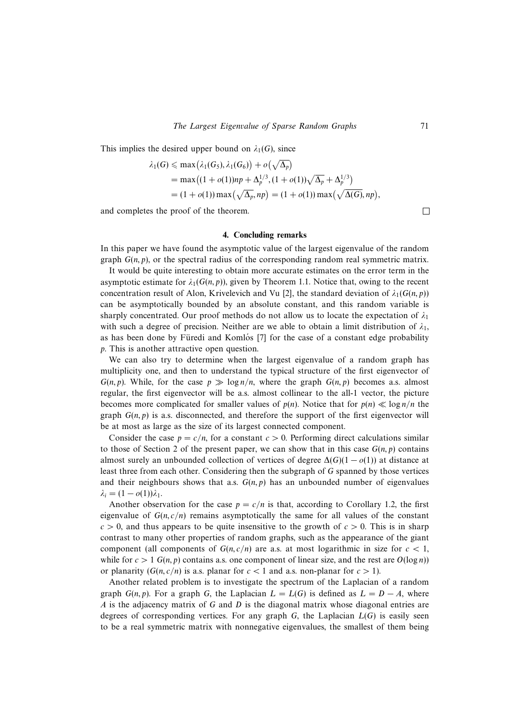This implies the desired upper bound on  $\lambda_1(G)$ , since

$$
\lambda_1(G) \le \max(\lambda_1(G_5), \lambda_1(G_6)) + o(\sqrt{\Delta_p})
$$
  
= max((1 + o(1))np + \Delta\_p^{1/3}, (1 + o(1))\sqrt{\Delta\_p} + \Delta\_p^{1/3})  
= (1 + o(1)) max(\sqrt{\Delta\_p}, np) = (1 + o(1)) max(\sqrt{\Delta(G)}, np),

and completes the proof of the theorem.

## **4. Concluding remarks**

In this paper we have found the asymptotic value of the largest eigenvalue of the random graph  $G(n, p)$ , or the spectral radius of the corresponding random real symmetric matrix.

It would be quite interesting to obtain more accurate estimates on the error term in the asymptotic estimate for  $\lambda_1(G(n, p))$ , given by Theorem 1.1. Notice that, owing to the recent concentration result of Alon, Krivelevich and Vu [2], the standard deviation of  $\lambda_1(G(n, p))$ can be asymptotically bounded by an absolute constant, and this random variable is sharply concentrated. Our proof methods do not allow us to locate the expectation of  $\lambda_1$ with such a degree of precision. Neither are we able to obtain a limit distribution of  $\lambda_1$ , as has been done by Füredi and Komlós [7] for the case of a constant edge probability p. This is another attractive open question.

We can also try to determine when the largest eigenvalue of a random graph has multiplicity one, and then to understand the typical structure of the first eigenvector of  $G(n, p)$ . While, for the case  $p \gg \log n/n$ , where the graph  $G(n, p)$  becomes a.s. almost regular, the first eigenvector will be a.s. almost collinear to the all-1 vector, the picture becomes more complicated for smaller values of  $p(n)$ . Notice that for  $p(n) \ll \log n/n$  the graph  $G(n, p)$  is a.s. disconnected, and therefore the support of the first eigenvector will be at most as large as the size of its largest connected component.

Consider the case  $p = c/n$ , for a constant  $c > 0$ . Performing direct calculations similar to those of Section 2 of the present paper, we can show that in this case  $G(n, p)$  contains almost surely an unbounded collection of vertices of degree  $\Delta(G)(1 - o(1))$  at distance at least three from each other. Considering then the subgraph of G spanned by those vertices and their neighbours shows that a.s.  $G(n, p)$  has an unbounded number of eigenvalues  $\lambda_i = (1 - o(1))\lambda_1.$ 

Another observation for the case  $p = c/n$  is that, according to Corollary 1.2, the first eigenvalue of  $G(n, c/n)$  remains asymptotically the same for all values of the constant  $c > 0$ , and thus appears to be quite insensitive to the growth of  $c > 0$ . This is in sharp contrast to many other properties of random graphs, such as the appearance of the giant component (all components of  $G(n, c/n)$  are a.s. at most logarithmic in size for  $c < 1$ , while for  $c > 1$  G(n, p) contains a.s. one component of linear size, and the rest are  $O(\log n)$ ) or planarity  $(G(n, c/n))$  is a.s. planar for  $c < 1$  and a.s. non-planar for  $c > 1$ ).

Another related problem is to investigate the spectrum of the Laplacian of a random graph  $G(n, p)$ . For a graph G, the Laplacian  $L = L(G)$  is defined as  $L = D - A$ , where A is the adjacency matrix of G and D is the diagonal matrix whose diagonal entries are degrees of corresponding vertices. For any graph  $G$ , the Laplacian  $L(G)$  is easily seen to be a real symmetric matrix with nonnegative eigenvalues, the smallest of them being

 $\Box$